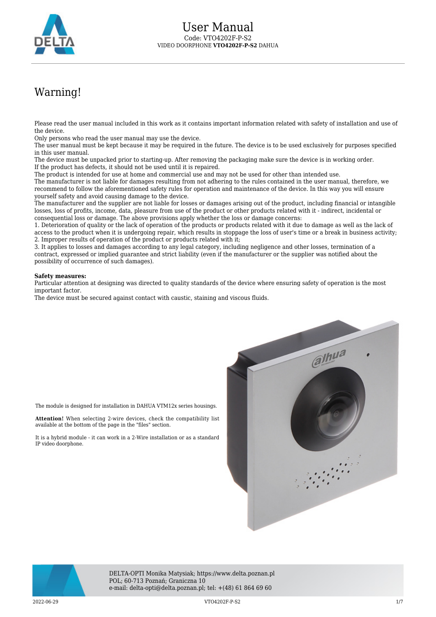

## Warning!

Please read the user manual included in this work as it contains important information related with safety of installation and use of the device.

Only persons who read the user manual may use the device.

The user manual must be kept because it may be required in the future. The device is to be used exclusively for purposes specified in this user manual.

The device must be unpacked prior to starting-up. After removing the packaging make sure the device is in working order. If the product has defects, it should not be used until it is repaired.

The product is intended for use at home and commercial use and may not be used for other than intended use.

The manufacturer is not liable for damages resulting from not adhering to the rules contained in the user manual, therefore, we recommend to follow the aforementioned safety rules for operation and maintenance of the device. In this way you will ensure yourself safety and avoid causing damage to the device.

The manufacturer and the supplier are not liable for losses or damages arising out of the product, including financial or intangible losses, loss of profits, income, data, pleasure from use of the product or other products related with it - indirect, incidental or consequential loss or damage. The above provisions apply whether the loss or damage concerns:

1. Deterioration of quality or the lack of operation of the products or products related with it due to damage as well as the lack of access to the product when it is undergoing repair, which results in stoppage the loss of user's time or a break in business activity; 2. Improper results of operation of the product or products related with it;

3. It applies to losses and damages according to any legal category, including negligence and other losses, termination of a contract, expressed or implied guarantee and strict liability (even if the manufacturer or the supplier was notified about the possibility of occurrence of such damages).

## **Safety measures:**

Particular attention at designing was directed to quality standards of the device where ensuring safety of operation is the most important factor.

The device must be secured against contact with caustic, staining and viscous fluids.

The module is designed for installation in DAHUA VTM12x series housings.

available at the bottom of the page in the "files" section.





IP video doorphone.

DELTA-OPTI Monika Matysiak; https://www.delta.poznan.pl POL; 60-713 Poznań; Graniczna 10 e-mail: delta-opti@delta.poznan.pl; tel: +(48) 61 864 69 60

2022-06-29 VTO4202F-P-S2 1/7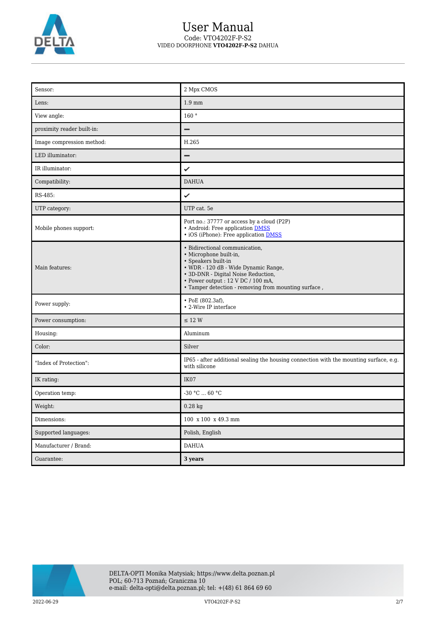

## User Manual Code: VTO4202F-P-S2 VIDEO DOORPHONE **VTO4202F-P-S2** DAHUA

| Sensor:                    | 2 Mpx CMOS                                                                                                                                                                                                                                                          |
|----------------------------|---------------------------------------------------------------------------------------------------------------------------------------------------------------------------------------------------------------------------------------------------------------------|
| Lens:                      | $1.9 \text{ mm}$                                                                                                                                                                                                                                                    |
| View angle:                | 160°                                                                                                                                                                                                                                                                |
| proximity reader built-in: | -                                                                                                                                                                                                                                                                   |
| Image compression method:  | H.265                                                                                                                                                                                                                                                               |
| LED illuminator:           | -                                                                                                                                                                                                                                                                   |
| IR illuminator:            | ✓                                                                                                                                                                                                                                                                   |
| Compatibility:             | <b>DAHUA</b>                                                                                                                                                                                                                                                        |
| RS-485:                    | ✓                                                                                                                                                                                                                                                                   |
| UTP category:              | UTP cat. 5e                                                                                                                                                                                                                                                         |
| Mobile phones support:     | Port no.: 37777 or access by a cloud (P2P)<br>• Android: Free application DMSS<br>• iOS (iPhone): Free application <b>DMSS</b>                                                                                                                                      |
| Main features:             | • Bidirectional communication,<br>· Microphone built-in,<br>$\bullet$ Speakers built-in<br>• WDR - 120 dB - Wide Dynamic Range,<br>• 3D-DNR - Digital Noise Reduction,<br>· Power output: 12 V DC / 100 mA,<br>· Tamper detection - removing from mounting surface, |
| Power supply:              | • PoE (802.3af),<br>• 2-Wire IP interface                                                                                                                                                                                                                           |
| Power consumption:         | $\leq$ 12 W                                                                                                                                                                                                                                                         |
| Housing:                   | Aluminum                                                                                                                                                                                                                                                            |
| Color:                     | Silver                                                                                                                                                                                                                                                              |
| "Index of Protection":     | IP65 - after additional sealing the housing connection with the mounting surface, e.g.<br>with silicone                                                                                                                                                             |
| IK rating:                 | IK07                                                                                                                                                                                                                                                                |
| Operation temp:            | $-30 °C$ 60 °C                                                                                                                                                                                                                                                      |
| Weight:                    | $0.28$ kg                                                                                                                                                                                                                                                           |
| Dimensions:                | 100 x 100 x 49.3 mm                                                                                                                                                                                                                                                 |
| Supported languages:       | Polish, English                                                                                                                                                                                                                                                     |
| Manufacturer / Brand:      | $\mathop{\rm DAHUA}\nolimits$                                                                                                                                                                                                                                       |
| Guarantee:                 | 3 years                                                                                                                                                                                                                                                             |



2022-06-29 VTO4202F-P-S2 2/7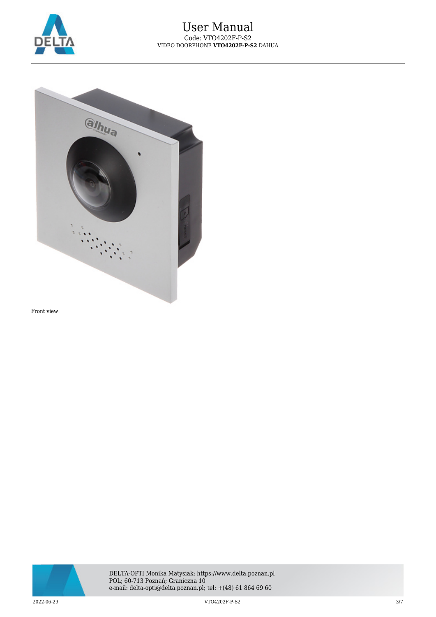



Front view:



2022-06-29 VTO4202F-P-S2 3/7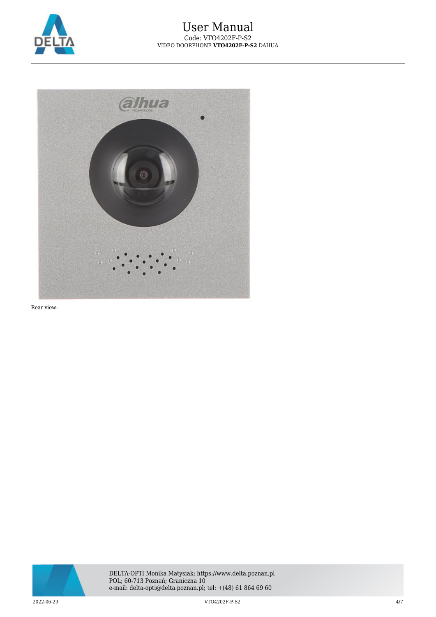



Rear view:



2022-06-29 VTO4202F-P-S2 4/7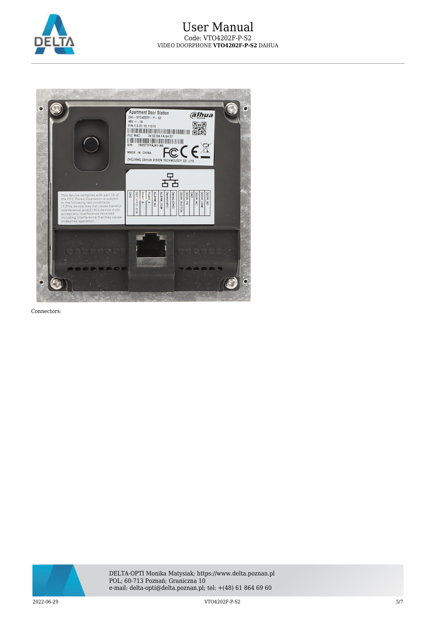



Connectors:



2022-06-29 VTO4202F-P-S2 5/7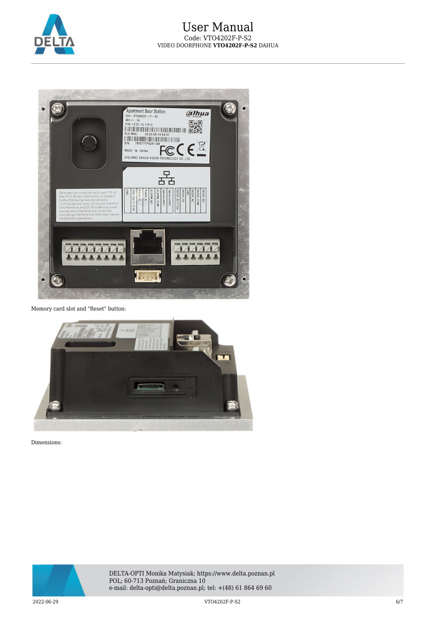



Memory card slot and "Reset" button:



Dimensions:



2022-06-29 VTO4202F-P-S2 6/7